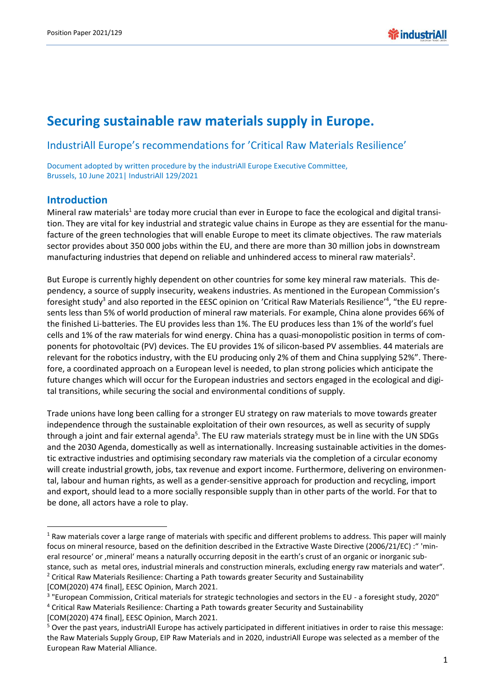# **Securing sustainable raw materials supply in Europe.**

#### IndustriAll Europe's recommendations for 'Critical Raw Materials Resilience'

Document adopted by written procedure by the industriAll Europe Executive Committee, Brussels, 10 June 2021| IndustriAll 129/2021

#### **Introduction**

 $\overline{a}$ 

Mineral raw materials<sup>1</sup> are today more crucial than ever in Europe to face the ecological and digital transition. They are vital for key industrial and strategic value chains in Europe as they are essential for the manufacture of the green technologies that will enable Europe to meet its climate objectives. The raw materials sector provides about 350 000 jobs within the EU, and there are more than 30 million jobs in downstream manufacturing industries that depend on reliable and unhindered access to mineral raw materials<sup>2</sup>.

But Europe is currently highly dependent on other countries for some key mineral raw materials. This dependency, a source of supply insecurity, weakens industries. As mentioned in the European Commission's foresight study<sup>3</sup> and also reported in the EESC opinion on 'Critical Raw Materials Resilience'<sup>4</sup>, "the EU represents less than 5% of world production of mineral raw materials. For example, China alone provides 66% of the finished Li-batteries. The EU provides less than 1%. The EU produces less than 1% of the world's fuel cells and 1% of the raw materials for wind energy. China has a quasi-monopolistic position in terms of components for photovoltaic (PV) devices. The EU provides 1% of silicon-based PV assemblies. 44 materials are relevant for the robotics industry, with the EU producing only 2% of them and China supplying 52%". Therefore, a coordinated approach on a European level is needed, to plan strong policies which anticipate the future changes which will occur for the European industries and sectors engaged in the ecological and digital transitions, while securing the social and environmental conditions of supply.

Trade unions have long been calling for a stronger EU strategy on raw materials to move towards greater independence through the sustainable exploitation of their own resources, as well as security of supply through a joint and fair external agenda<sup>5</sup>. The EU raw materials strategy must be in line with the UN SDGs and the 2030 Agenda, domestically as well as internationally. Increasing sustainable activities in the domestic extractive industries and optimising secondary raw materials via the completion of a circular economy will create industrial growth, jobs, tax revenue and export income. Furthermore, delivering on environmental, labour and human rights, as well as a gender-sensitive approach for production and recycling, import and export, should lead to a more socially responsible supply than in other parts of the world. For that to be done, all actors have a role to play.

[COM(2020) 474 final], EESC Opinion, March 2021.

 $1$  Raw materials cover a large range of materials with specific and different problems to address. This paper will mainly focus on mineral resource, based on the definition described in the Extractive Waste Directive (2006/21/EC) :" 'mineral resource' or , mineral' means a naturally occurring deposit in the earth's crust of an organic or inorganic substance, such as metal ores, industrial minerals and construction minerals, excluding energy raw materials and water". <sup>2</sup> Critical Raw Materials Resilience: Charting a Path towards greater Security and Sustainability

<sup>&</sup>lt;sup>3</sup> "European Commission, Critical materials for strategic technologies and sectors in the EU - a foresight study, 2020"

<sup>4</sup> Critical Raw Materials Resilience: Charting a Path towards greater Security and Sustainability

<sup>[</sup>COM(2020) 474 final], EESC Opinion, March 2021.

<sup>5</sup> Over the past years, industriAll Europe has actively participated in different initiatives in order to raise this message: the Raw Materials Supply Group, EIP Raw Materials and in 2020, industriAll Europe was selected as a member of the European Raw Material Alliance.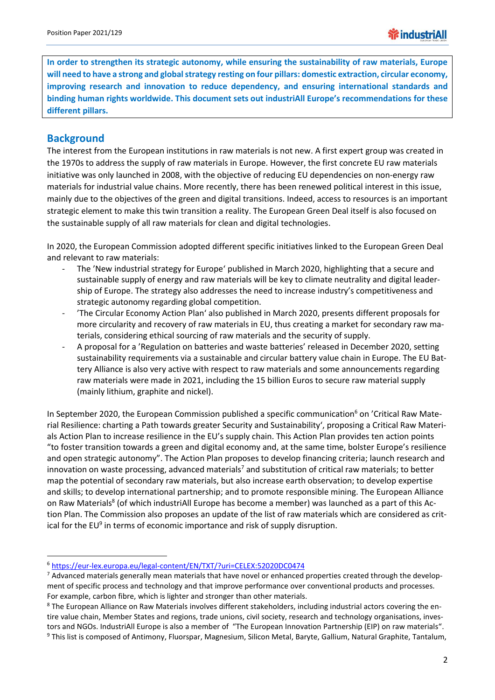**In order to strengthen its strategic autonomy, while ensuring the sustainability of raw materials, Europe will need to have a strong and global strategy resting on four pillars: domestic extraction, circular economy, improving research and innovation to reduce dependency, and ensuring international standards and binding human rights worldwide. This document sets out industriAll Europe's recommendations for these different pillars.**

# **Background**

**.** 

The interest from the European institutions in raw materials is not new. A first expert group was created in the 1970s to address the supply of raw materials in Europe. However, the first concrete EU raw materials initiative was only launched in 2008, with the objective of reducing EU dependencies on non-energy raw materials for industrial value chains. More recently, there has been renewed political interest in this issue, mainly due to the objectives of the green and digital transitions. Indeed, access to resources is an important strategic element to make this twin transition a reality. The European Green Deal itself is also focused on the sustainable supply of all raw materials for clean and digital technologies.

In 2020, the European Commission adopted different specific initiatives linked to the European Green Deal and relevant to raw materials:

- The 'New industrial strategy for Europe' published in March 2020, highlighting that a secure and sustainable supply of energy and raw materials will be key to climate neutrality and digital leadership of Europe. The strategy also addresses the need to increase industry's competitiveness and strategic autonomy regarding global competition.
- 'The Circular Economy Action Plan' also published in March 2020, presents different proposals for more circularity and recovery of raw materials in EU, thus creating a market for secondary raw materials, considering ethical sourcing of raw materials and the security of supply.
- A proposal for a 'Regulation on batteries and waste batteries' released in December 2020, setting sustainability requirements via a sustainable and circular battery value chain in Europe. The EU Battery Alliance is also very active with respect to raw materials and some announcements regarding raw materials were made in 2021, including the 15 billion Euros to secure raw material supply (mainly lithium, graphite and nickel).

In September 2020, the European Commission published a specific communication<sup>6</sup> on 'Critical Raw Material Resilience: charting a Path towards greater Security and Sustainability', proposing a Critical Raw Materials Action Plan to increase resilience in the EU's supply chain. This Action Plan provides ten action points "to foster transition towards a green and digital economy and, at the same time, bolster Europe's resilience and open strategic autonomy". The Action Plan proposes to develop financing criteria; launch research and innovation on waste processing, advanced materials<sup>7</sup> and substitution of critical raw materials; to better map the potential of secondary raw materials, but also increase earth observation; to develop expertise and skills; to develop international partnership; and to promote responsible mining. The European Alliance on Raw Materials<sup>8</sup> (of which industriAll Europe has become a member) was launched as a part of this Action Plan. The Commission also proposes an update of the list of raw materials which are considered as critical for the EU<sup>9</sup> in terms of economic importance and risk of supply disruption.

<sup>6</sup> <https://eur-lex.europa.eu/legal-content/EN/TXT/?uri=CELEX:52020DC0474>

 $7$  Advanced materials generally mean materials that have novel or enhanced properties created through the development of specific process and technology and that improve performance over conventional products and processes. For example, carbon fibre, which is lighter and stronger than other materials.

<sup>&</sup>lt;sup>8</sup> The European Alliance on Raw Materials involves different stakeholders, including industrial actors covering the entire value chain, Member States and regions, trade unions, civil society, research and technology organisations, investors and NGOs. IndustriAll Europe is also a member of "The European Innovation Partnership (EIP) on raw materials". <sup>9</sup> This list is composed of Antimony, Fluorspar, Magnesium, Silicon Metal, Baryte, Gallium, Natural Graphite, Tantalum,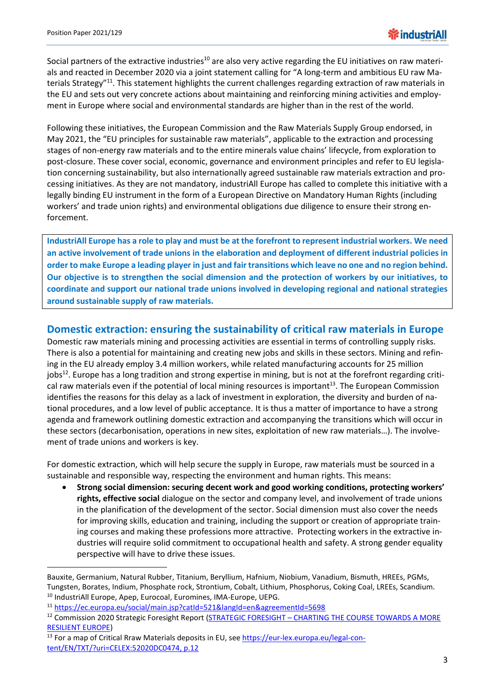**.** 

Social partners of the extractive industries<sup>10</sup> are also very active regarding the EU initiatives on raw materials and reacted in December 2020 via a joint statement calling for "A long-term and ambitious EU raw Materials Strategy"<sup>11</sup>. This statement highlights the current challenges regarding extraction of raw materials in the EU and sets out very concrete actions about maintaining and reinforcing mining activities and employment in Europe where social and environmental standards are higher than in the rest of the world.

Following these initiatives, the European Commission and the Raw Materials Supply Group endorsed, in May 2021, the "EU principles for sustainable raw materials", applicable to the extraction and processing stages of non-energy raw materials and to the entire minerals value chains' lifecycle, from exploration to post-closure. These cover social, economic, governance and environment principles and refer to EU legislation concerning sustainability, but also internationally agreed sustainable raw materials extraction and processing initiatives. As they are not mandatory, industriAll Europe has called to complete this initiative with a legally binding EU instrument in the form of a European Directive on Mandatory Human Rights (including workers' and trade union rights) and environmental obligations due diligence to ensure their strong enforcement.

**IndustriAll Europe has a role to play and must be at the forefront to represent industrial workers. We need an active involvement of trade unions in the elaboration and deployment of different industrial policies in order to make Europe a leading player in just and fair transitions which leave no one and no region behind. Our objective is to strengthen the social dimension and the protection of workers by our initiatives, to coordinate and support our national trade unions involved in developing regional and national strategies around sustainable supply of raw materials.** 

#### **Domestic extraction: ensuring the sustainability of critical raw materials in Europe**

Domestic raw materials mining and processing activities are essential in terms of controlling supply risks. There is also a potential for maintaining and creating new jobs and skills in these sectors. Mining and refining in the EU already employ 3.4 million workers, while related manufacturing accounts for 25 million jobs<sup>12</sup>. Europe has a long tradition and strong expertise in mining, but is not at the forefront regarding critical raw materials even if the potential of local mining resources is important<sup>13</sup>. The European Commission identifies the reasons for this delay as a lack of investment in exploration, the diversity and burden of national procedures, and a low level of public acceptance. It is thus a matter of importance to have a strong agenda and framework outlining domestic extraction and accompanying the transitions which will occur in these sectors (decarbonisation, operations in new sites, exploitation of new raw materials…). The involvement of trade unions and workers is key.

For domestic extraction, which will help secure the supply in Europe, raw materials must be sourced in a sustainable and responsible way, respecting the environment and human rights. This means:

 **Strong social dimension: securing decent work and good working conditions, protecting workers' rights, effective social** dialogue on the sector and company level, and involvement of trade unions in the planification of the development of the sector. Social dimension must also cover the needs for improving skills, education and training, including the support or creation of appropriate training courses and making these professions more attractive. Protecting workers in the extractive industries will require solid commitment to occupational health and safety. A strong gender equality perspective will have to drive these issues.

Bauxite, Germanium, Natural Rubber, Titanium, Beryllium, Hafnium, Niobium, Vanadium, Bismuth, HREEs, PGMs, Tungsten, Borates, Indium, Phosphate rock, Strontium, Cobalt, Lithium, Phosphorus, Coking Coal, LREEs, Scandium. <sup>10</sup> IndustriAll Europe, Apep, Eurocoal, Euromines, IMA-Europe, UEPG.

<sup>11</sup> <https://ec.europa.eu/social/main.jsp?catId=521&langId=en&agreementId=5698>

<sup>&</sup>lt;sup>12</sup> Commission 2020 Strategic Foresight Report (STRATEGIC FORESIGHT - CHARTING THE COURSE TOWARDS A MORE [RESILIENT EUROPE\)](https://eur01.safelinks.protection.outlook.com/?url=https%3A%2F%2Feur-lex.europa.eu%2Flegal-content%2FEN%2FTXT%2FHTML%2F%3Furi%3DCELEX%3A52020DC0493%26from%3DEN&data=04%7C01%7Csophie.grenade%40industriall-europe.eu%7C82d2a0aab7ac4d7c63ad08d90409a1f6%7Caba971db37f44611ac7cfb9911ba2369%7C1%7C0%7C637545261690046634%7CUnknown%7CTWFpbGZsb3d8eyJWIjoiMC4wLjAwMDAiLCJQIjoiV2luMzIiLCJBTiI6Ik1haWwiLCJXVCI6Mn0%3D%7C1000&sdata=79V2ErKStAPG1XEnpYXGd5nEGEKw5t%2BzY%2B1T2gzQ0t8%3D&reserved=0)

<sup>&</sup>lt;sup>13</sup> For a map of Critical Rraw Materials deposits in EU, se[e https://eur-lex.europa.eu/legal-con](https://eur-lex.europa.eu/legal-content/EN/TXT/?uri=CELEX:52020DC0474)[tent/EN/TXT/?uri=CELEX:52020DC0474,](https://eur-lex.europa.eu/legal-content/EN/TXT/?uri=CELEX:52020DC0474) p.12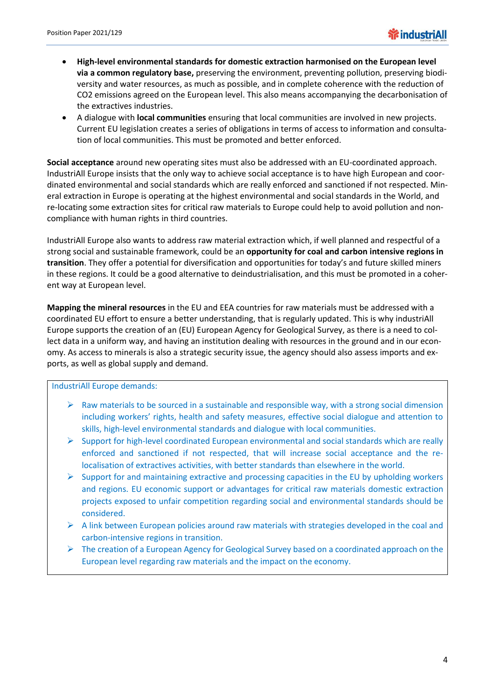- **High-level environmental standards for domestic extraction harmonised on the European level via a common regulatory base,** preserving the environment, preventing pollution, preserving biodiversity and water resources, as much as possible, and in complete coherence with the reduction of CO2 emissions agreed on the European level. This also means accompanying the decarbonisation of the extractives industries.
- A dialogue with **local communities** ensuring that local communities are involved in new projects. Current EU legislation creates a series of obligations in terms of access to information and consultation of local communities. This must be promoted and better enforced.

**Social acceptance** around new operating sites must also be addressed with an EU-coordinated approach. IndustriAll Europe insists that the only way to achieve social acceptance is to have high European and coordinated environmental and social standards which are really enforced and sanctioned if not respected. Mineral extraction in Europe is operating at the highest environmental and social standards in the World, and re-locating some extraction sites for critical raw materials to Europe could help to avoid pollution and noncompliance with human rights in third countries.

IndustriAll Europe also wants to address raw material extraction which, if well planned and respectful of a strong social and sustainable framework, could be an **opportunity for coal and carbon intensive regions in transition**. They offer a potential for diversification and opportunities for today's and future skilled miners in these regions. It could be a good alternative to deindustrialisation, and this must be promoted in a coherent way at European level.

**Mapping the mineral resources** in the EU and EEA countries for raw materials must be addressed with a coordinated EU effort to ensure a better understanding, that is regularly updated. This is why industriAll Europe supports the creation of an (EU) European Agency for Geological Survey, as there is a need to collect data in a uniform way, and having an institution dealing with resources in the ground and in our economy. As access to minerals is also a strategic security issue, the agency should also assess imports and exports, as well as global supply and demand.

IndustriAll Europe demands:

- $\triangleright$  Raw materials to be sourced in a sustainable and responsible way, with a strong social dimension including workers' rights, health and safety measures, effective social dialogue and attention to skills, high-level environmental standards and dialogue with local communities.
- $\triangleright$  Support for high-level coordinated European environmental and social standards which are really enforced and sanctioned if not respected, that will increase social acceptance and the relocalisation of extractives activities, with better standards than elsewhere in the world.
- $\triangleright$  Support for and maintaining extractive and processing capacities in the EU by upholding workers and regions. EU economic support or advantages for critical raw materials domestic extraction projects exposed to unfair competition regarding social and environmental standards should be considered.
- $\triangleright$  A link between European policies around raw materials with strategies developed in the coal and carbon-intensive regions in transition.
- $\triangleright$  The creation of a European Agency for Geological Survey based on a coordinated approach on the European level regarding raw materials and the impact on the economy.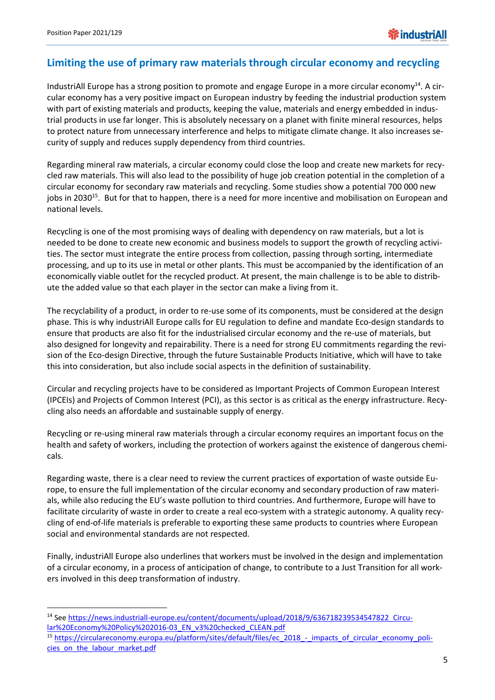**.** 

# **Limiting the use of primary raw materials through circular economy and recycling**

IndustriAll Europe has a strong position to promote and engage Europe in a more circular economy<sup>14</sup>. A circular economy has a very positive impact on European industry by feeding the industrial production system with part of existing materials and products, keeping the value, materials and energy embedded in industrial products in use far longer. This is absolutely necessary on a planet with finite mineral resources, helps to protect nature from unnecessary interference and helps to mitigate climate change. It also increases security of supply and reduces supply dependency from third countries.

Regarding mineral raw materials, a circular economy could close the loop and create new markets for recycled raw materials. This will also lead to the possibility of huge job creation potential in the completion of a circular economy for secondary raw materials and recycling. Some studies show a potential 700 000 new jobs in 2030<sup>15</sup>. But for that to happen, there is a need for more incentive and mobilisation on European and national levels.

Recycling is one of the most promising ways of dealing with dependency on raw materials, but a lot is needed to be done to create new economic and business models to support the growth of recycling activities. The sector must integrate the entire process from collection, passing through sorting, intermediate processing, and up to its use in metal or other plants. This must be accompanied by the identification of an economically viable outlet for the recycled product. At present, the main challenge is to be able to distribute the added value so that each player in the sector can make a living from it.

The recyclability of a product, in order to re-use some of its components, must be considered at the design phase. This is why industriAll Europe calls for EU regulation to define and mandate Eco-design standards to ensure that products are also fit for the industrialised circular economy and the re-use of materials, but also designed for longevity and repairability. There is a need for strong EU commitments regarding the revision of the Eco-design Directive, through the future Sustainable Products Initiative, which will have to take this into consideration, but also include social aspects in the definition of sustainability.

Circular and recycling projects have to be considered as Important Projects of Common European Interest (IPCEIs) and Projects of Common Interest (PCI), as this sector is as critical as the energy infrastructure. Recycling also needs an affordable and sustainable supply of energy.

Recycling or re-using mineral raw materials through a circular economy requires an important focus on the health and safety of workers, including the protection of workers against the existence of dangerous chemicals.

Regarding waste, there is a clear need to review the current practices of exportation of waste outside Europe, to ensure the full implementation of the circular economy and secondary production of raw materials, while also reducing the EU's waste pollution to third countries. And furthermore, Europe will have to facilitate circularity of waste in order to create a real eco-system with a strategic autonomy. A quality recycling of end-of-life materials is preferable to exporting these same products to countries where European social and environmental standards are not respected.

Finally, industriAll Europe also underlines that workers must be involved in the design and implementation of a circular economy, in a process of anticipation of change, to contribute to a Just Transition for all workers involved in this deep transformation of industry.

<sup>14</sup> See [https://news.industriall-europe.eu/content/documents/upload/2018/9/636718239534547822\\_Circu](https://news.industriall-europe.eu/content/documents/upload/2018/9/636718239534547822_Circular%20Economy%20Policy%202016-03_EN_v3%20checked_CLEAN.pdf)[lar%20Economy%20Policy%202016-03\\_EN\\_v3%20checked\\_CLEAN.pdf](https://news.industriall-europe.eu/content/documents/upload/2018/9/636718239534547822_Circular%20Economy%20Policy%202016-03_EN_v3%20checked_CLEAN.pdf)

<sup>15</sup> [https://circulareconomy.europa.eu/platform/sites/default/files/ec\\_2018\\_-\\_impacts\\_of\\_circular\\_economy\\_poli](https://circulareconomy.europa.eu/platform/sites/default/files/ec_2018_-_impacts_of_circular_economy_policies_on_the_labour_market.pdf)cies on the labour market.pdf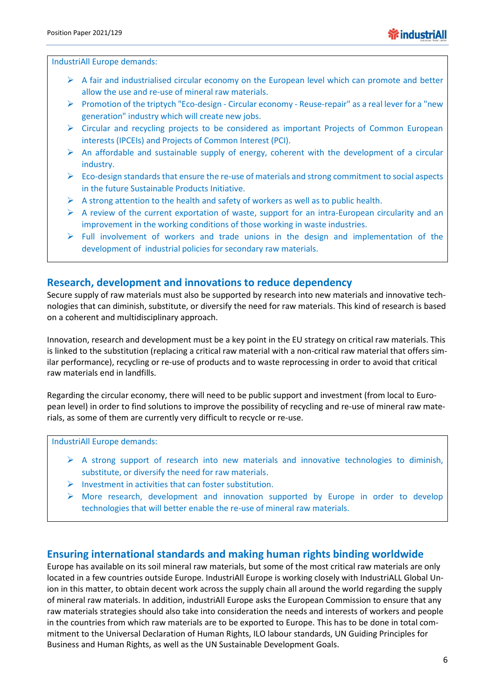IndustriAll Europe demands:

- $\triangleright$  A fair and industrialised circular economy on the European level which can promote and better allow the use and re-use of mineral raw materials.
- Promotion of the triptych "Eco-design Circular economy Reuse-repair" as a real lever for a "new generation" industry which will create new jobs.
- $\triangleright$  Circular and recycling projects to be considered as important Projects of Common European interests (IPCEIs) and Projects of Common Interest (PCI).
- $\triangleright$  An affordable and sustainable supply of energy, coherent with the development of a circular industry.
- $\triangleright$  Eco-design standards that ensure the re-use of materials and strong commitment to social aspects in the future Sustainable Products Initiative.
- $\triangleright$  A strong attention to the health and safety of workers as well as to public health.
- $\triangleright$  A review of the current exportation of waste, support for an intra-European circularity and an improvement in the working conditions of those working in waste industries.
- $\triangleright$  Full involvement of workers and trade unions in the design and implementation of the development of industrial policies for secondary raw materials.

# **Research, development and innovations to reduce dependency**

Secure supply of raw materials must also be supported by research into new materials and innovative technologies that can diminish, substitute, or diversify the need for raw materials. This kind of research is based on a coherent and multidisciplinary approach.

Innovation, research and development must be a key point in the EU strategy on critical raw materials. This is linked to the substitution (replacing a critical raw material with a non-critical raw material that offers similar performance), recycling or re-use of products and to waste reprocessing in order to avoid that critical raw materials end in landfills.

Regarding the circular economy, there will need to be public support and investment (from local to European level) in order to find solutions to improve the possibility of recycling and re-use of mineral raw materials, as some of them are currently very difficult to recycle or re-use.

IndustriAll Europe demands:

- $\triangleright$  A strong support of research into new materials and innovative technologies to diminish, substitute, or diversify the need for raw materials.
- $\triangleright$  Investment in activities that can foster substitution.
- $\triangleright$  More research, development and innovation supported by Europe in order to develop technologies that will better enable the re-use of mineral raw materials.

### **Ensuring international standards and making human rights binding worldwide**

Europe has available on its soil mineral raw materials, but some of the most critical raw materials are only located in a few countries outside Europe. IndustriAll Europe is working closely with IndustriALL Global Union in this matter, to obtain decent work across the supply chain all around the world regarding the supply of mineral raw materials. In addition, industriAll Europe asks the European Commission to ensure that any raw materials strategies should also take into consideration the needs and interests of workers and people in the countries from which raw materials are to be exported to Europe. This has to be done in total commitment to the Universal Declaration of Human Rights, ILO labour standards, UN Guiding Principles for Business and Human Rights, as well as the UN Sustainable Development Goals.